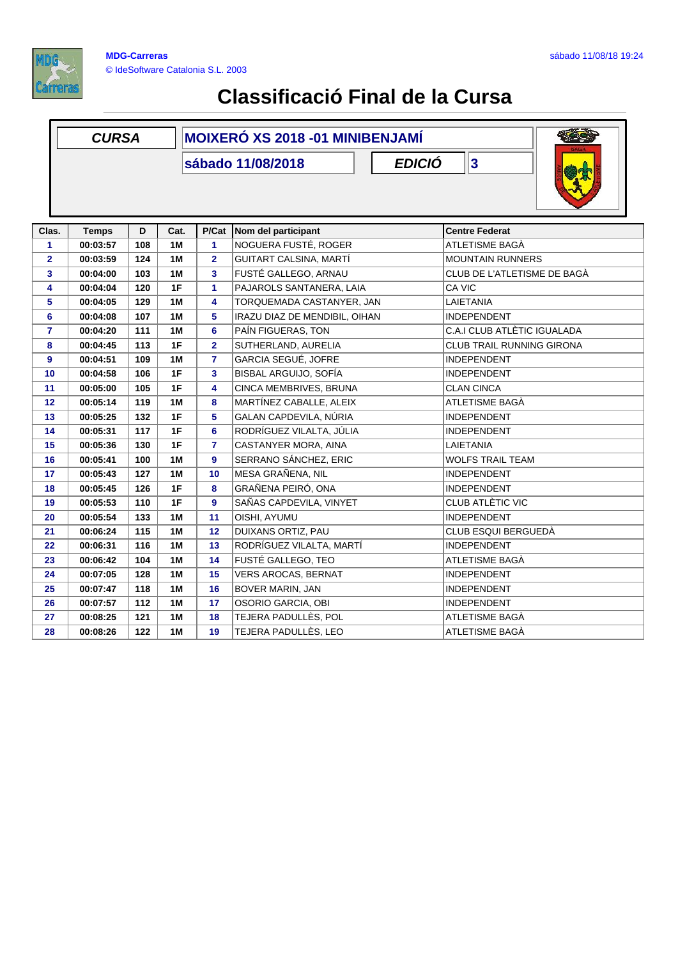

|                         | <b>CURSA</b> |     |           | <b>MOIXERÓ XS 2018 -01 MINIBENJAMÍ</b> |                                    |                                  |  |  |
|-------------------------|--------------|-----|-----------|----------------------------------------|------------------------------------|----------------------------------|--|--|
|                         |              |     |           |                                        | <b>EDICIÓ</b><br>sábado 11/08/2018 | $\overline{\mathbf{3}}$          |  |  |
|                         |              |     |           |                                        |                                    |                                  |  |  |
|                         |              |     |           |                                        |                                    |                                  |  |  |
|                         |              |     |           |                                        |                                    |                                  |  |  |
| Clas.                   | <b>Temps</b> | D   | Cat.      | P/Cat                                  | Nom del participant                | <b>Centre Federat</b>            |  |  |
| 1                       | 00:03:57     | 108 | 1M        | 1                                      | NOGUERA FUSTÉ, ROGER               | ATLETISME BAGÀ                   |  |  |
| $\mathbf{2}$            | 00:03:59     | 124 | 1M        | $\overline{2}$                         | GUITART CALSINA, MARTÍ             | <b>MOUNTAIN RUNNERS</b>          |  |  |
| 3                       | 00:04:00     | 103 | <b>1M</b> | 3                                      | FUSTÉ GALLEGO, ARNAU               | CLUB DE L'ATLETISME DE BAGÀ      |  |  |
| 4                       | 00:04:04     | 120 | 1F        | 1                                      | PAJAROLS SANTANERA, LAIA           | CA VIC                           |  |  |
| 5                       | 00:04:05     | 129 | 1M        | 4                                      | TORQUEMADA CASTANYER, JAN          | LAIETANIA                        |  |  |
| 6                       | 00:04:08     | 107 | 1M        | 5                                      | IRAZU DIAZ DE MENDIBIL, OIHAN      | <b>INDEPENDENT</b>               |  |  |
| $\overline{\mathbf{r}}$ | 00:04:20     | 111 | 1M        | 6                                      | PAÍN FIGUERAS, TON                 | C.A.I CLUB ATLÈTIC IGUALADA      |  |  |
| 8                       | 00:04:45     | 113 | 1F        | $\mathbf{2}$                           | SUTHERLAND, AURELIA                | <b>CLUB TRAIL RUNNING GIRONA</b> |  |  |
| 9                       | 00:04:51     | 109 | 1M        | $\overline{\mathbf{r}}$                | GARCIA SEGUÉ, JOFRE                | <b>INDEPENDENT</b>               |  |  |
| 10                      | 00:04:58     | 106 | 1F        | 3                                      | BISBAL ARGUIJO, SOFÍA              | <b>INDEPENDENT</b>               |  |  |
| 11                      | 00:05:00     | 105 | 1F        | 4                                      | CINCA MEMBRIVES, BRUNA             | <b>CLAN CINCA</b>                |  |  |
| 12                      | 00:05:14     | 119 | 1M        | 8                                      | MARTÍNEZ CABALLE, ALEIX            | ATLETISME BAGÀ                   |  |  |
| 13                      | 00:05:25     | 132 | 1F        | 5                                      | GALAN CAPDEVILA, NÚRIA             | <b>INDEPENDENT</b>               |  |  |
| 14                      | 00:05:31     | 117 | 1F        | $6\phantom{a}$                         | RODRÍGUEZ VILALTA, JÚLIA           | <b>INDEPENDENT</b>               |  |  |
| 15                      | 00:05:36     | 130 | 1F        | $\overline{7}$                         | CASTANYER MORA, AINA               | LAIETANIA                        |  |  |
| 16                      | 00:05:41     | 100 | 1M        | 9                                      | SERRANO SÁNCHEZ, ERIC              | <b>WOLFS TRAIL TEAM</b>          |  |  |
| 17                      | 00:05:43     | 127 | 1M        | 10                                     | MESA GRAÑENA, NIL                  | <b>INDEPENDENT</b>               |  |  |
| 18                      | 00:05:45     | 126 | 1F        | 8                                      | GRAÑENA PEIRÓ, ONA                 | <b>INDEPENDENT</b>               |  |  |
| 19                      | 00:05:53     | 110 | 1F        | 9                                      | SAÑAS CAPDEVILA, VINYET            | CLUB ATLÈTIC VIC                 |  |  |
| 20                      | 00:05:54     | 133 | 1M        | 11                                     | OISHI, AYUMU                       | <b>INDEPENDENT</b>               |  |  |
| 21                      | 00:06:24     | 115 | 1M        | 12                                     | DUIXANS ORTIZ, PAU                 | CLUB ESQUI BERGUEDÀ              |  |  |
| 22                      | 00:06:31     | 116 | 1M        | 13                                     | RODRÍGUEZ VILALTA, MARTÍ           | <b>INDEPENDENT</b>               |  |  |
| 23                      | 00:06:42     | 104 | 1M        | 14                                     | FUSTÉ GALLEGO, TEO                 | ATLETISME BAGÀ                   |  |  |
| 24                      | 00:07:05     | 128 | <b>1M</b> | 15                                     | <b>VERS AROCAS, BERNAT</b>         | <b>INDEPENDENT</b>               |  |  |
| 25                      | 00:07:47     | 118 | 1M        | 16                                     | BOVER MARIN, JAN                   | <b>INDEPENDENT</b>               |  |  |
| 26                      | 00:07:57     | 112 | 1M        | 17                                     | OSORIO GARCIA, OBI                 | <b>INDEPENDENT</b>               |  |  |
| 27                      | 00:08:25     | 121 | 1M        | 18                                     | TEJERA PADULLÈS, POL               | ATLETISME BAGÀ                   |  |  |
| 28                      | 00:08:26     | 122 | 1M        | 19                                     | TEJERA PADULLÈS, LEO               | ATLETISME BAGA                   |  |  |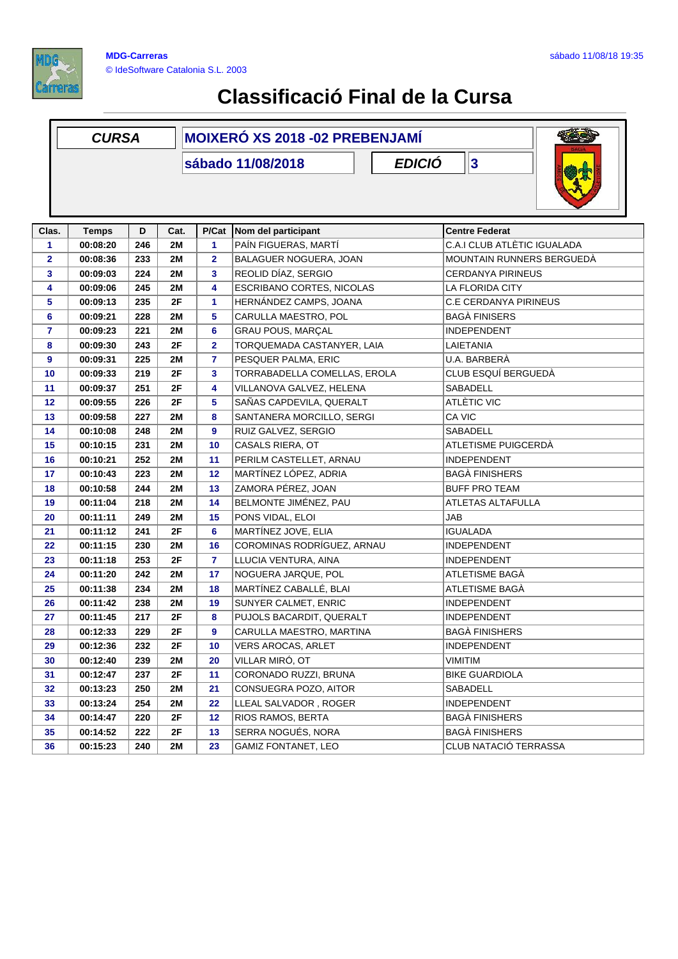

|                | <b>CURSA</b>                                                  |     |           | <b>MOIXERÓ XS 2018 -02 PREBENJAMÍ</b> |                                                     |                             |  |  |  |
|----------------|---------------------------------------------------------------|-----|-----------|---------------------------------------|-----------------------------------------------------|-----------------------------|--|--|--|
|                | $\overline{\mathbf{3}}$<br><b>EDICIÓ</b><br>sábado 11/08/2018 |     |           |                                       |                                                     |                             |  |  |  |
| Clas.          | <b>Temps</b>                                                  | D   | Cat.      | P/Cat                                 | Nom del participant                                 | <b>Centre Federat</b>       |  |  |  |
| 1              | 00:08:20                                                      | 246 | 2M        | 1                                     | PAÍN FIGUERAS, MARTÍ                                | C.A.I CLUB ATLÈTIC IGUALADA |  |  |  |
| $\mathbf{2}$   | 00:08:36                                                      | 233 | 2M        | 2                                     | BALAGUER NOGUERA, JOAN                              | MOUNTAIN RUNNERS BERGUEDÀ   |  |  |  |
| 3              | 00:09:03                                                      | 224 | 2M        | 3                                     | REOLID DÍAZ, SERGIO                                 | <b>CERDANYA PIRINEUS</b>    |  |  |  |
| 4              | 00:09:06                                                      | 245 | 2M        | 4                                     | <b>ESCRIBANO CORTES, NICOLAS</b>                    | LA FLORIDA CITY             |  |  |  |
| 5              | 00:09:13                                                      | 235 | 2F        | 1                                     | HERNÁNDEZ CAMPS, JOANA                              | C.E CERDANYA PIRINEUS       |  |  |  |
| 6              | 00:09:21                                                      | 228 | 2M        | 5                                     | CARULLA MAESTRO, POL                                | <b>BAGÀ FINISERS</b>        |  |  |  |
| $\overline{7}$ | 00:09:23                                                      | 221 | 2M        | 6                                     | <b>GRAU POUS, MARÇAL</b>                            | <b>INDEPENDENT</b>          |  |  |  |
| 8              | 00:09:30                                                      | 243 | 2F        | $\overline{\mathbf{2}}$               | TORQUEMADA CASTANYER, LAIA                          | LAIETANIA                   |  |  |  |
| 9              | 00:09:31                                                      | 225 | 2M        | $\overline{7}$                        | PESQUER PALMA, ERIC                                 | U.A. BARBERÀ                |  |  |  |
| 10             | 00:09:33                                                      | 219 | 2F        | 3                                     | TORRABADELLA COMELLAS, EROLA                        | CLUB ESQUÍ BERGUEDÀ         |  |  |  |
| 11             | 00:09:37                                                      | 251 | 2F        | 4                                     | VILLANOVA GALVEZ, HELENA                            | SABADELL                    |  |  |  |
| 12             | 00:09:55                                                      | 226 | 2F        | 5                                     | SAÑAS CAPDEVILA, QUERALT                            | ATLÈTIC VIC                 |  |  |  |
| 13             | 00:09:58                                                      | 227 | 2M        | 8                                     | SANTANERA MORCILLO, SERGI                           | CA VIC                      |  |  |  |
| 14             | 00:10:08                                                      | 248 | 2M        | 9                                     | RUIZ GALVEZ, SERGIO                                 | <b>SABADELL</b>             |  |  |  |
| 15             | 00:10:15                                                      | 231 | 2M        | 10                                    | CASALS RIERA, OT                                    | ATLETISME PUIGCERDÀ         |  |  |  |
| 16             | 00:10:21                                                      | 252 | 2M        | 11                                    | PERILM CASTELLET, ARNAU                             | <b>INDEPENDENT</b>          |  |  |  |
| 17             | 00:10:43                                                      | 223 | 2M        | 12                                    | MARTÍNEZ LÓPEZ, ADRIA                               | <b>BAGA FINISHERS</b>       |  |  |  |
| 18             | 00:10:58                                                      | 244 | 2M        | 13                                    | ZAMORA PÉREZ, JOAN                                  | <b>BUFF PRO TEAM</b>        |  |  |  |
| 19             | 00:11:04                                                      | 218 | 2M        | 14                                    | BELMONTE JIMÉNEZ, PAU                               | <b>ATLETAS ALTAFULLA</b>    |  |  |  |
| 20             | 00:11:11                                                      | 249 | 2M        | 15                                    | PONS VIDAL, ELOI                                    | <b>JAB</b>                  |  |  |  |
| 21             | 00:11:12                                                      | 241 | 2F        | 6                                     | MARTÍNEZ JOVE, ELIA                                 | <b>IGUALADA</b>             |  |  |  |
| 22             | 00:11:15                                                      | 230 | 2M        | 16                                    | COROMINAS RODRÍGUEZ, ARNAU                          | INDEPENDENT                 |  |  |  |
| 23             | 00:11:18                                                      | 253 | 2F        | 7                                     | LLUCIA VENTURA, AINA                                | INDEPENDENT                 |  |  |  |
| 24             | 00:11:20                                                      | 242 | 2M        | 17                                    | NOGUERA JARQUE, POL                                 | ATLETISME BAGÀ              |  |  |  |
| 25             | 00:11:38                                                      | 234 | <b>2M</b> | 18                                    | MARTÍNEZ CABALLÉ, BLAI                              | ATLETISME BAGÀ              |  |  |  |
| 26             | 00:11:42                                                      | 238 | 2M        | 19                                    | SUNYER CALMET, ENRIC                                | INDEPENDENT                 |  |  |  |
| 27             | 00:11:45                                                      | 217 | 2F        | 8                                     | PUJOLS BACARDIT, QUERALT                            | INDEPENDENT                 |  |  |  |
| 28             | 00:12:33                                                      | 229 | 2F        | 9                                     | CARULLA MAESTRO, MARTINA                            | <b>BAGA FINISHERS</b>       |  |  |  |
| 29             | 00:12:36                                                      | 232 | 2F        | 10                                    | <b>VERS AROCAS, ARLET</b>                           | <b>INDEPENDENT</b>          |  |  |  |
| 30             | 00:12:40                                                      | 239 | 2M        | 20                                    | VILLAR MIRÓ, OT                                     | VIMITIM                     |  |  |  |
| 31             | 00:12:47                                                      | 237 | 2F        | 11                                    | CORONADO RUZZI, BRUNA                               | <b>BIKE GUARDIOLA</b>       |  |  |  |
| 32             | 00:13:23                                                      | 250 | 2M        | 21                                    | CONSUEGRA POZO, AITOR                               | SABADELL                    |  |  |  |
| 33             | 00:13:24                                                      | 254 | 2M        | 22                                    | LLEAL SALVADOR, ROGER                               | <b>INDEPENDENT</b>          |  |  |  |
| 34             | 00:14:47                                                      | 220 | 2F        | 12                                    | <b>RIOS RAMOS, BERTA</b>                            | BAGÀ FINISHERS              |  |  |  |
| 35             | 00:14:52                                                      | 222 | 2F        | 13                                    | SERRA NOGUÉS, NORA                                  | <b>BAGA FINISHERS</b>       |  |  |  |
| 36             | 00:15:23                                                      | 240 | 2M        | 23                                    | <b>GAMIZ FONTANET, LEO</b><br>CLUB NATACIÓ TERRASSA |                             |  |  |  |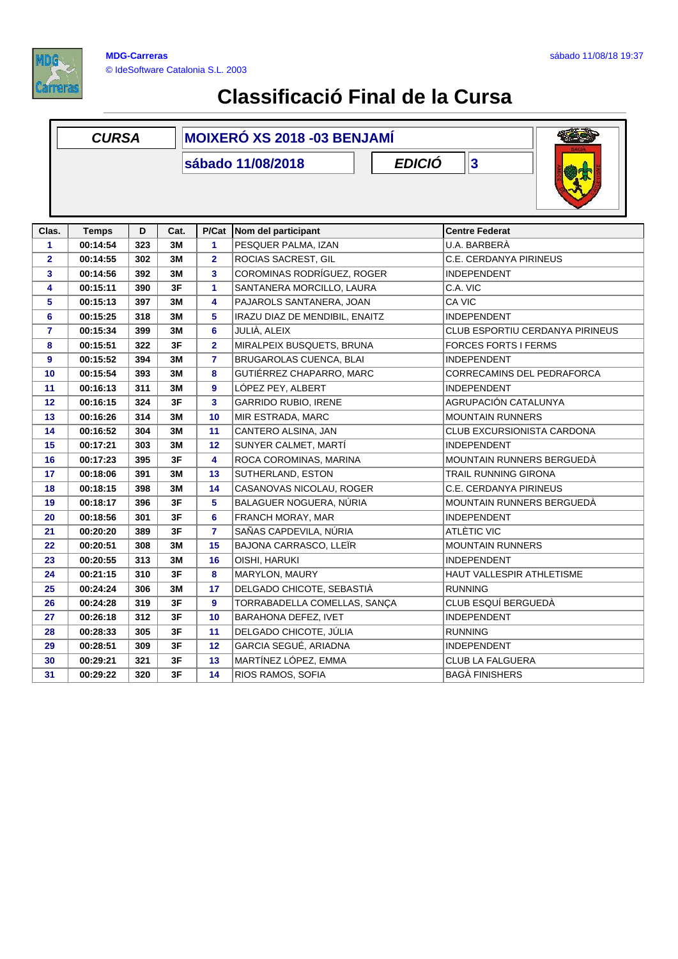

|                | <b>CURSA</b> |     |      | <b>MOIXERÓ XS 2018 -03 BENJAMÍ</b> |                                                   |                                   |  |  |  |  |
|----------------|--------------|-----|------|------------------------------------|---------------------------------------------------|-----------------------------------|--|--|--|--|
|                |              |     |      |                                    | <b>EDICIÓ</b><br>sábado 11/08/2018                | $\overline{\mathbf{3}}$           |  |  |  |  |
|                |              |     |      |                                    |                                                   |                                   |  |  |  |  |
| Clas.          | <b>Temps</b> | D   | Cat. | P/Cat                              | Nom del participant                               | <b>Centre Federat</b>             |  |  |  |  |
| $\mathbf{1}$   | 00:14:54     | 323 | 3M   | $\mathbf{1}$                       | PESQUER PALMA, IZAN                               | U.A. BARBERÀ                      |  |  |  |  |
| $\mathbf{2}$   | 00:14:55     | 302 | 3M   | $\overline{2}$                     | ROCIAS SACREST, GIL                               | C.E. CERDANYA PIRINEUS            |  |  |  |  |
| 3              | 00:14:56     | 392 | 3M   | $\mathbf{3}$                       | COROMINAS RODRÍGUEZ. ROGER                        | <b>INDEPENDENT</b>                |  |  |  |  |
| 4              | 00:15:11     | 390 | 3F   | $\mathbf{1}$                       | SANTANERA MORCILLO, LAURA                         | C.A. VIC                          |  |  |  |  |
| 5              | 00:15:13     | 397 | 3M   | 4                                  | PAJAROLS SANTANERA, JOAN                          | CA VIC                            |  |  |  |  |
| 6              | 00:15:25     | 318 | 3M   | 5                                  | IRAZU DIAZ DE MENDIBIL, ENAITZ                    | <b>INDEPENDENT</b>                |  |  |  |  |
| $\overline{7}$ | 00:15:34     | 399 | 3M   | 6                                  | JULIÀ, ALEIX                                      | CLUB ESPORTIU CERDANYA PIRINEUS   |  |  |  |  |
| 8              | 00:15:51     | 322 | 3F   | $\overline{2}$                     | MIRALPEIX BUSQUETS, BRUNA                         | <b>FORCES FORTS I FERMS</b>       |  |  |  |  |
| 9              | 00:15:52     | 394 | 3M   | $\overline{7}$                     | <b>BRUGAROLAS CUENCA, BLAI</b>                    | <b>INDEPENDENT</b>                |  |  |  |  |
| 10             | 00:15:54     | 393 | 3M   | 8                                  | GUTIÉRREZ CHAPARRO, MARC                          | <b>CORRECAMINS DEL PEDRAFORCA</b> |  |  |  |  |
| 11             | 00:16:13     | 311 | 3M   | $\overline{9}$                     | LÓPEZ PEY, ALBERT                                 | <b>INDEPENDENT</b>                |  |  |  |  |
| 12             | 00:16:15     | 324 | 3F   | $\overline{\mathbf{3}}$            | <b>GARRIDO RUBIO, IRENE</b>                       | AGRUPACIÓN CATALUNYA              |  |  |  |  |
| 13             | 00:16:26     | 314 | 3M   | 10                                 | MIR ESTRADA, MARC                                 | <b>MOUNTAIN RUNNERS</b>           |  |  |  |  |
| 14             | 00:16:52     | 304 | 3M   | 11                                 | CANTERO ALSINA, JAN                               | <b>CLUB EXCURSIONISTA CARDONA</b> |  |  |  |  |
| 15             | 00:17:21     | 303 | ЗM   | 12                                 | SUNYER CALMET, MARTI                              | <b>INDEPENDENT</b>                |  |  |  |  |
| 16             | 00:17:23     | 395 | 3F   | 4                                  | ROCA COROMINAS, MARINA                            | <b>MOUNTAIN RUNNERS BERGUEDA</b>  |  |  |  |  |
| 17             | 00:18:06     | 391 | 3M   | 13                                 | SUTHERLAND, ESTON                                 | TRAIL RUNNING GIRONA              |  |  |  |  |
| 18             | 00:18:15     | 398 | 3M   | 14                                 | CASANOVAS NICOLAU, ROGER                          | C.E. CERDANYA PIRINEUS            |  |  |  |  |
| 19             | 00:18:17     | 396 | 3F   | 5                                  | BALAGUER NOGUERA, NÚRIA                           | MOUNTAIN RUNNERS BERGUEDA         |  |  |  |  |
| 20             | 00:18:56     | 301 | 3F   | 6                                  | FRANCH MORAY, MAR                                 | <b>INDEPENDENT</b>                |  |  |  |  |
| 21             | 00:20:20     | 389 | 3F   | $\overline{7}$                     | SAÑAS CAPDEVILA, NÚRIA                            | ATLÈTIC VIC                       |  |  |  |  |
| 22             | 00:20:51     | 308 | 3M   | 15                                 | BAJONA CARRASCO, LLEÏR<br><b>MOUNTAIN RUNNERS</b> |                                   |  |  |  |  |
| 23             | 00:20:55     | 313 | 3M   | 16                                 | OISHI, HARUKI                                     | <b>INDEPENDENT</b>                |  |  |  |  |
| 24             | 00:21:15     | 310 | 3F   | 8                                  | MARYLON, MAURY                                    | HAUT VALLESPIR ATHLETISME         |  |  |  |  |
| 25             | 00:24:24     | 306 | 3M   | 17                                 | DELGADO CHICOTE, SEBASTIÀ                         | <b>RUNNING</b>                    |  |  |  |  |
| 26             | 00:24:28     | 319 | 3F   | 9                                  | TORRABADELLA COMELLAS, SANÇA                      | CLUB ESQUÍ BERGUEDÀ               |  |  |  |  |
| 27             | 00:26:18     | 312 | 3F   | 10                                 | <b>BARAHONA DEFEZ, IVET</b>                       | <b>INDEPENDENT</b>                |  |  |  |  |
| 28             | 00:28:33     | 305 | 3F   | 11                                 | DELGADO CHICOTE, JULIA                            | <b>RUNNING</b>                    |  |  |  |  |
| 29             | 00:28:51     | 309 | 3F   | 12                                 | GARCIA SEGUÉ, ARIADNA                             | <b>INDEPENDENT</b>                |  |  |  |  |
| 30             | 00:29:21     | 321 | 3F   | 13                                 | MARTÍNEZ LÓPEZ, EMMA<br><b>CLUB LA FALGUERA</b>   |                                   |  |  |  |  |
| 31             | 00:29:22     | 320 | 3F   | 14                                 | RIOS RAMOS, SOFIA                                 | <b>BAGA FINISHERS</b>             |  |  |  |  |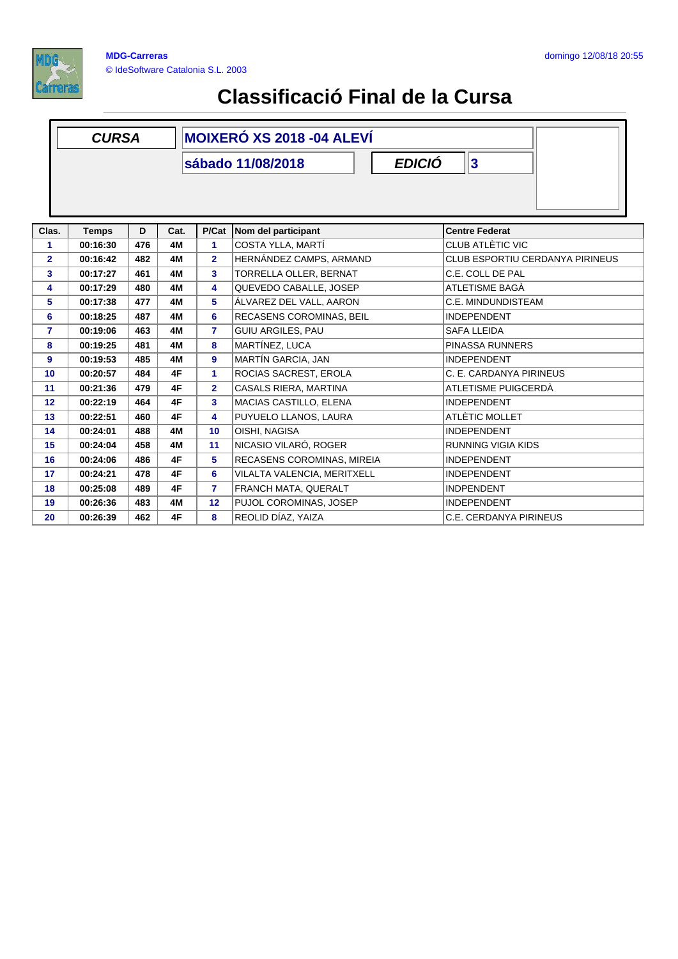

|                 | <b>CURSA</b>                             |     |      | <b>MOIXERÓ XS 2018 -04 ALEVÍ</b> |                                       |                                 |  |  |  |  |
|-----------------|------------------------------------------|-----|------|----------------------------------|---------------------------------------|---------------------------------|--|--|--|--|
|                 | 3 <br><b>EDICIÓ</b><br>sábado 11/08/2018 |     |      |                                  |                                       |                                 |  |  |  |  |
| Clas.           | <b>Temps</b>                             | D   | Cat. | P/Cat                            | Nom del participant                   | <b>Centre Federat</b>           |  |  |  |  |
| 1.              | 00:16:30                                 | 476 | 4M   | 1                                | COSTA YLLA, MARTÍ<br>CLUB ATLÈTIC VIC |                                 |  |  |  |  |
| 2               | 00:16:42                                 | 482 | 4M   | $\overline{2}$                   | HERNÁNDEZ CAMPS, ARMAND               | CLUB ESPORTIU CERDANYA PIRINEUS |  |  |  |  |
| 3               | 00:17:27                                 | 461 | 4M   | 3                                | TORRELLA OLLER, BERNAT                | C.E. COLL DE PAL                |  |  |  |  |
| 4               | 00:17:29                                 | 480 | 4M   | 4                                | QUEVEDO CABALLE, JOSEP                | ATLETISME BAGÀ                  |  |  |  |  |
| 5               | 00:17:38                                 | 477 | 4M   | 5                                | ÁLVAREZ DEL VALL, AARON               | C.E. MINDUNDISTEAM              |  |  |  |  |
| 6               | 00:18:25                                 | 487 | 4M   | 6                                | RECASENS COROMINAS, BEIL              | <b>INDEPENDENT</b>              |  |  |  |  |
| 7               | 00:19:06                                 | 463 | 4M   | 7                                | <b>GUIU ARGILES, PAU</b>              | <b>SAFA LLEIDA</b>              |  |  |  |  |
| 8               | 00:19:25                                 | 481 | 4M   | 8                                | MARTÍNEZ, LUCA                        | PINASSA RUNNERS                 |  |  |  |  |
| 9               | 00:19:53                                 | 485 | 4M   | 9                                | <b>MARTÍN GARCIA, JAN</b>             | <b>INDEPENDENT</b>              |  |  |  |  |
| 10              | 00:20:57                                 | 484 | 4F   | 1                                | ROCIAS SACREST, EROLA                 | C. E. CARDANYA PIRINEUS         |  |  |  |  |
| 11              | 00:21:36                                 | 479 | 4F   | $\overline{2}$                   | CASALS RIERA, MARTINA                 | ATLETISME PUIGCERDÀ             |  |  |  |  |
| 12 <sub>2</sub> | 00:22:19                                 | 464 | 4F   | 3                                | MACIAS CASTILLO, ELENA                | <b>INDEPENDENT</b>              |  |  |  |  |
| 13              | 00:22:51                                 | 460 | 4F   | 4                                | PUYUELO LLANOS, LAURA                 | ATLÈTIC MOLLET                  |  |  |  |  |
| 14              | 00:24:01                                 | 488 | 4M   | 10 <sup>1</sup>                  | OISHI, NAGISA                         | <b>INDEPENDENT</b>              |  |  |  |  |
| 15              | 00:24:04                                 | 458 | 4M   | 11                               | NICASIO VILARÓ, ROGER                 | <b>RUNNING VIGIA KIDS</b>       |  |  |  |  |
| 16              | 00:24:06                                 | 486 | 4F   | 5                                | RECASENS COROMINAS, MIREIA            | <b>INDEPENDENT</b>              |  |  |  |  |
| 17              | 00:24:21                                 | 478 | 4F   | 6                                | VILALTA VALENCIA, MERITXELL           | <b>INDEPENDENT</b>              |  |  |  |  |
| 18              | 00:25:08                                 | 489 | 4F   | $\overline{7}$                   | FRANCH MATA, QUERALT                  | <b>INDPENDENT</b>               |  |  |  |  |
| 19              | 00:26:36                                 | 483 | 4M   | 12                               | PUJOL COROMINAS, JOSEP                | <b>INDEPENDENT</b>              |  |  |  |  |
| 20              | 00:26:39                                 | 462 | 4F   | 8                                | REOLID DÍAZ, YAIZA                    | C.E. CERDANYA PIRINEUS          |  |  |  |  |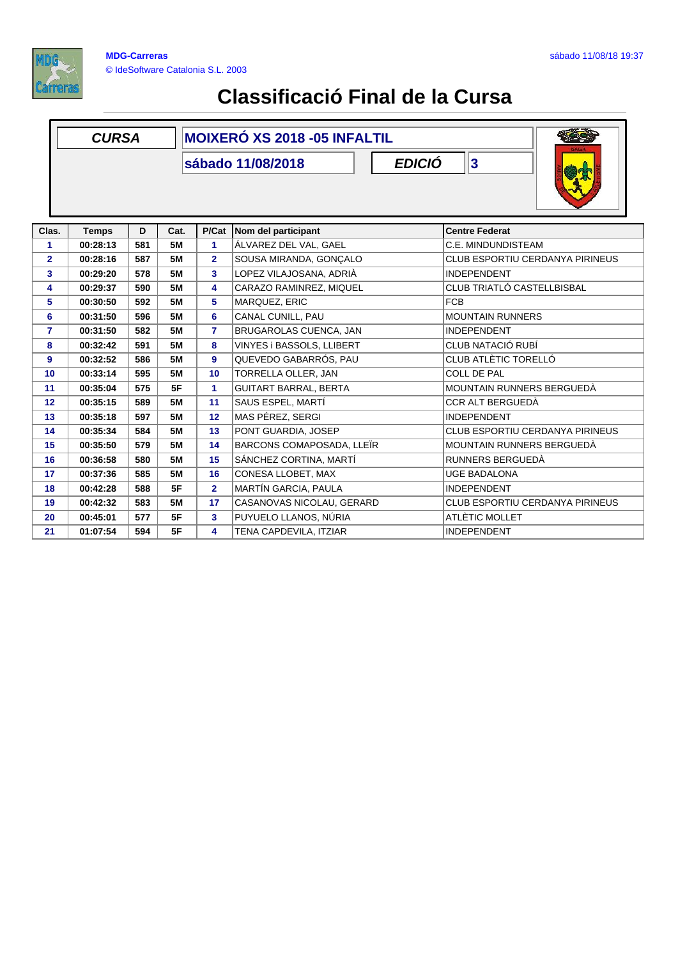

|              | <b>CURSA</b>                            |     |           | <b>MOIXERÓ XS 2018 - 05 INFALTIL</b> |                                                |                                 |  |  |  |  |  |
|--------------|-----------------------------------------|-----|-----------|--------------------------------------|------------------------------------------------|---------------------------------|--|--|--|--|--|
|              | 3<br><b>EDICIÓ</b><br>sábado 11/08/2018 |     |           |                                      |                                                |                                 |  |  |  |  |  |
| Clas.        | <b>Temps</b>                            | D   | Cat.      | P/Cat                                | Nom del participant                            | <b>Centre Federat</b>           |  |  |  |  |  |
| 1            | 00:28:13                                | 581 | <b>5M</b> | 1                                    | ÁLVAREZ DEL VAL, GAEL                          | C.E. MINDUNDISTEAM              |  |  |  |  |  |
| $\mathbf{2}$ | 00:28:16                                | 587 | <b>5M</b> | $\mathbf{2}$                         | SOUSA MIRANDA, GONÇALO                         | CLUB ESPORTIU CERDANYA PIRINEUS |  |  |  |  |  |
| 3            | 00:29:20                                | 578 | <b>5M</b> | 3                                    | LOPEZ VILAJOSANA, ADRIÀ                        | <b>INDEPENDENT</b>              |  |  |  |  |  |
| 4            | 00:29:37                                | 590 | <b>5M</b> | 4                                    | CARAZO RAMINREZ, MIQUEL                        | CLUB TRIATLÓ CASTELLBISBAL      |  |  |  |  |  |
| 5            | 00:30:50                                | 592 | <b>5M</b> | 5                                    | MARQUEZ, ERIC                                  | <b>FCB</b>                      |  |  |  |  |  |
| 6            | 00:31:50                                | 596 | <b>5M</b> | 6                                    | CANAL CUNILL, PAU                              | <b>MOUNTAIN RUNNERS</b>         |  |  |  |  |  |
| 7            | 00:31:50                                | 582 | <b>5M</b> | $\overline{7}$                       | BRUGAROLAS CUENCA, JAN                         | <b>INDEPENDENT</b>              |  |  |  |  |  |
| 8            | 00:32:42                                | 591 | <b>5M</b> | 8                                    | VINYES i BASSOLS, LLIBERT<br>CLUB NATACIÓ RUBÍ |                                 |  |  |  |  |  |
| 9            | 00:32:52                                | 586 | <b>5M</b> | 9                                    | QUEVEDO GABARRÓS, PAU                          | CLUB ATLÈTIC TORELLÓ            |  |  |  |  |  |
| 10           | 00:33:14                                | 595 | <b>5M</b> | 10                                   | TORRELLA OLLER, JAN                            | <b>COLL DE PAL</b>              |  |  |  |  |  |
| 11           | 00:35:04                                | 575 | 5F        | 1                                    | <b>GUITART BARRAL, BERTA</b>                   | MOUNTAIN RUNNERS BERGUEDÀ       |  |  |  |  |  |
| 12           | 00:35:15                                | 589 | <b>5M</b> | 11                                   | SAUS ESPEL, MARTÍ                              | CCR ALT BERGUEDÀ                |  |  |  |  |  |
| 13           | 00:35:18                                | 597 | <b>5M</b> | 12 <sub>2</sub>                      | MAS PÉREZ, SERGI                               | <b>INDEPENDENT</b>              |  |  |  |  |  |
| 14           | 00:35:34                                | 584 | <b>5M</b> | 13                                   | PONT GUARDIA, JOSEP                            | CLUB ESPORTIU CERDANYA PIRINEUS |  |  |  |  |  |
| 15           | 00:35:50                                | 579 | <b>5M</b> | 14                                   | BARCONS COMAPOSADA, LLEÏR                      | MOUNTAIN RUNNERS BERGUEDÀ       |  |  |  |  |  |
| 16           | 00:36:58                                | 580 | <b>5M</b> | 15                                   | SÁNCHEZ CORTINA, MARTÍ                         | RUNNERS BERGUEDÀ                |  |  |  |  |  |
| 17           | 00:37:36                                | 585 | <b>5M</b> | 16                                   | CONESA LLOBET, MAX                             | <b>UGE BADALONA</b>             |  |  |  |  |  |
| 18           | 00:42:28                                | 588 | 5F        | $\overline{2}$                       | MARTÍN GARCIA, PAULA                           | <b>INDEPENDENT</b>              |  |  |  |  |  |
| 19           | 00:42:32                                | 583 | <b>5M</b> | 17                                   | CASANOVAS NICOLAU, GERARD                      | CLUB ESPORTIU CERDANYA PIRINEUS |  |  |  |  |  |
| 20           | 00:45:01                                | 577 | 5F        | 3                                    | PUYUELO LLANOS, NÚRIA                          | ATLÈTIC MOLLET                  |  |  |  |  |  |
| 21           | 01:07:54                                | 594 | 5F        | 4                                    | TENA CAPDEVILA, ITZIAR                         | <b>INDEPENDENT</b>              |  |  |  |  |  |